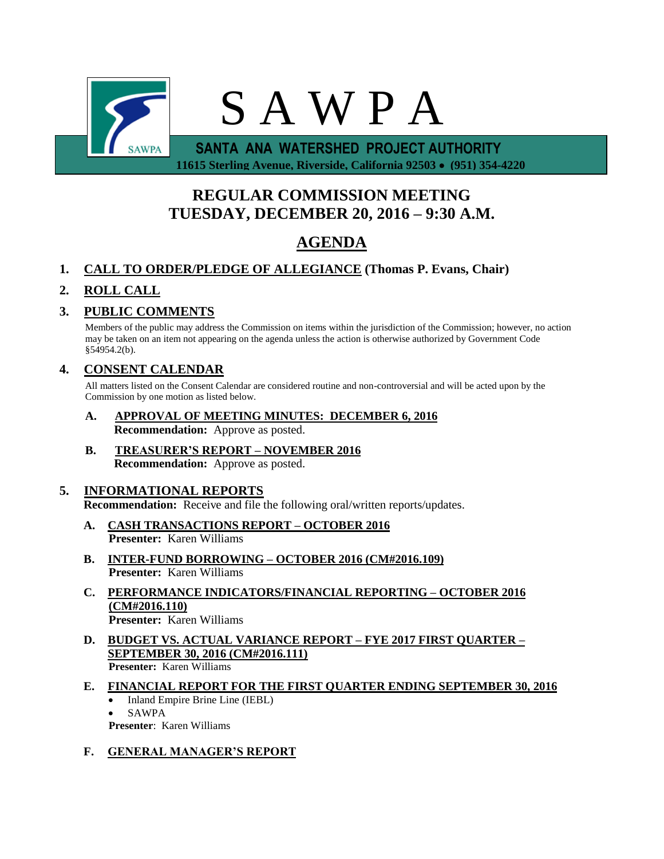

 **11615 Sterling Avenue, Riverside, California 92503 (951) 354-4220**

# **REGULAR COMMISSION MEETING TUESDAY, DECEMBER 20, 2016 – 9:30 A.M.**

# **AGENDA**

## **1. CALL TO ORDER/PLEDGE OF ALLEGIANCE (Thomas P. Evans, Chair)**

## **2. ROLL CALL**

## **3. PUBLIC COMMENTS**

Members of the public may address the Commission on items within the jurisdiction of the Commission; however, no action may be taken on an item not appearing on the agenda unless the action is otherwise authorized by Government Code §54954.2(b).

## **4. CONSENT CALENDAR**

All matters listed on the Consent Calendar are considered routine and non-controversial and will be acted upon by the Commission by one motion as listed below.

- **A. APPROVAL OF MEETING MINUTES: DECEMBER 6, 2016 Recommendation:** Approve as posted.
- **B. TREASURER'S REPORT – NOVEMBER 2016 Recommendation:** Approve as posted.

### **5. INFORMATIONAL REPORTS**

**Recommendation:** Receive and file the following oral/written reports/updates.

- **A. CASH TRANSACTIONS REPORT – OCTOBER 2016 Presenter:** Karen Williams
- **B. INTER-FUND BORROWING – OCTOBER 2016 (CM#2016.109) Presenter:** Karen Williams
- **C. PERFORMANCE INDICATORS/FINANCIAL REPORTING – OCTOBER 2016 (CM#2016.110) Presenter:** Karen Williams
- **D. BUDGET VS. ACTUAL VARIANCE REPORT – FYE 2017 FIRST QUARTER – SEPTEMBER 30, 2016 (CM#2016.111) Presenter:** Karen Williams

### **E. FINANCIAL REPORT FOR THE FIRST QUARTER ENDING SEPTEMBER 30, 2016**

- Inland Empire Brine Line (IEBL)
- SAWPA

**Presenter**: Karen Williams

### **F. GENERAL MANAGER'S REPORT**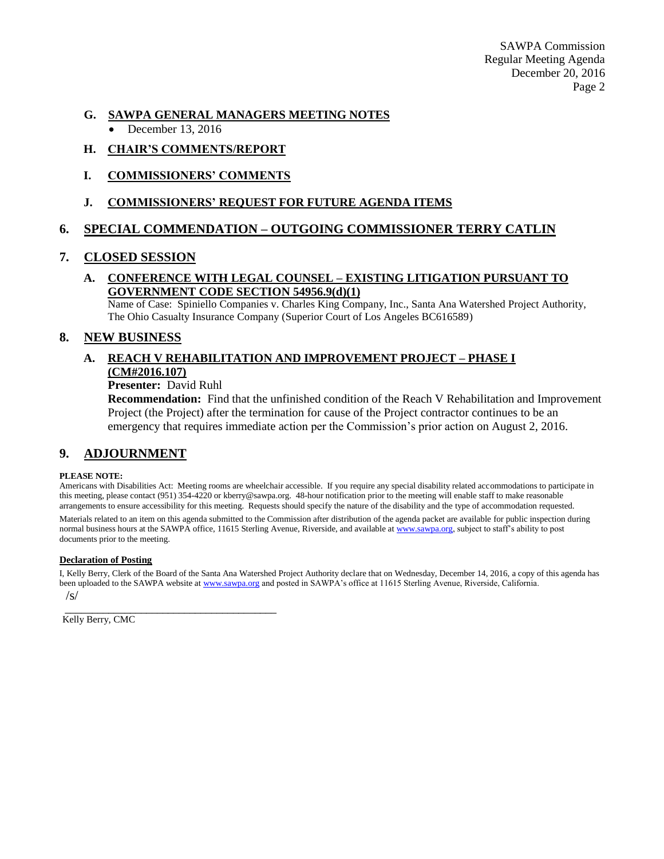SAWPA Commission Regular Meeting Agenda December 20, 2016 Page 2

## **G. SAWPA GENERAL MANAGERS MEETING NOTES**

December 13, 2016

### **H. CHAIR'S COMMENTS/REPORT**

#### **I. COMMISSIONERS' COMMENTS**

#### **J. COMMISSIONERS' REQUEST FOR FUTURE AGENDA ITEMS**

### **6. SPECIAL COMMENDATION – OUTGOING COMMISSIONER TERRY CATLIN**

### **7. CLOSED SESSION**

#### **A. CONFERENCE WITH LEGAL COUNSEL – EXISTING LITIGATION PURSUANT TO GOVERNMENT CODE SECTION 54956.9(d)(1)**

Name of Case: Spiniello Companies v. Charles King Company, Inc., Santa Ana Watershed Project Authority, The Ohio Casualty Insurance Company (Superior Court of Los Angeles BC616589)

#### **8. NEW BUSINESS**

## **A. REACH V REHABILITATION AND IMPROVEMENT PROJECT – PHASE I (CM#2016.107)**

**Presenter:** David Ruhl

\_\_\_\_\_\_\_\_\_\_\_\_\_\_\_\_\_\_\_\_\_\_\_\_\_\_\_\_\_\_\_\_\_\_\_\_\_\_\_

**Recommendation:** Find that the unfinished condition of the Reach V Rehabilitation and Improvement Project (the Project) after the termination for cause of the Project contractor continues to be an emergency that requires immediate action per the Commission's prior action on August 2, 2016.

#### **9. ADJOURNMENT**

#### **PLEASE NOTE:**

Americans with Disabilities Act: Meeting rooms are wheelchair accessible. If you require any special disability related accommodations to participate in this meeting, please contact (951) 354-4220 or kberry@sawpa.org. 48-hour notification prior to the meeting will enable staff to make reasonable arrangements to ensure accessibility for this meeting. Requests should specify the nature of the disability and the type of accommodation requested.

Materials related to an item on this agenda submitted to the Commission after distribution of the agenda packet are available for public inspection during normal business hours at the SAWPA office, 11615 Sterling Avenue, Riverside, and available a[t www.sawpa.org,](http://www.sawpa.org/) subject to staff's ability to post documents prior to the meeting.

#### **Declaration of Posting**

I, Kelly Berry, Clerk of the Board of the Santa Ana Watershed Project Authority declare that on Wednesday, December 14, 2016, a copy of this agenda has been uploaded to the SAWPA website a[t www.sawpa.org](http://www.sawpa.org/) and posted in SAWPA's office at 11615 Sterling Avenue, Riverside, California. /s/

Kelly Berry, CMC